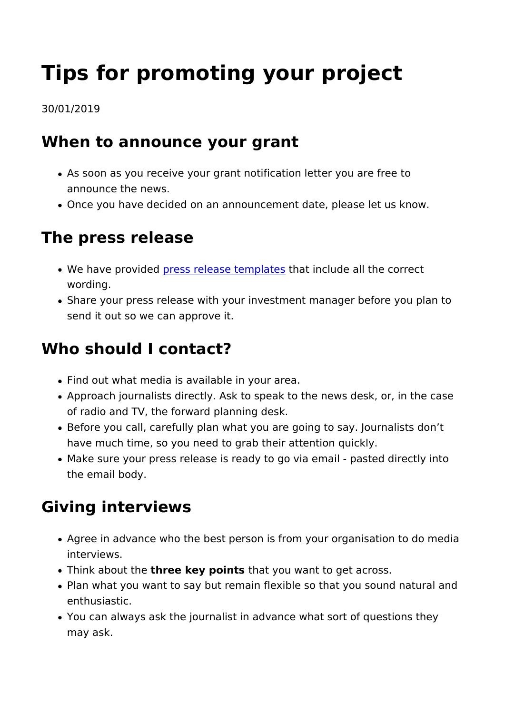# Tips for promoting your project

#### 30/01/2019

#### When to announce your grant

- As soon as you receive your grant notification letter you are announce the news.
- Once you have decided on an announcement date, please let

# The press release

- . We have provideds release temphates sclude all the correct wording.
- Share your press release with your investment manager befo send it out so we can approve it.

#### Who should I contact?

- Find out what media is available in your area.
- Approach journalists directly. Ask to speak to the news desl of radio and TV, the forward planning desk.
- . Before you call, carefully plan what you are going to say. Journal have much time, so you need to grab their attention quickly.
- Make sure your press release is ready to go via email past the email body.

### Giving interviews

- Agree in advance who the best person is from your organisa interviews.
- . Think aboutthhee key poinths at you want to get across.
- Plan what you want to say but remain flexible so that you so enthusiastic.
- You can always ask the journalist in advance what sort of q may ask.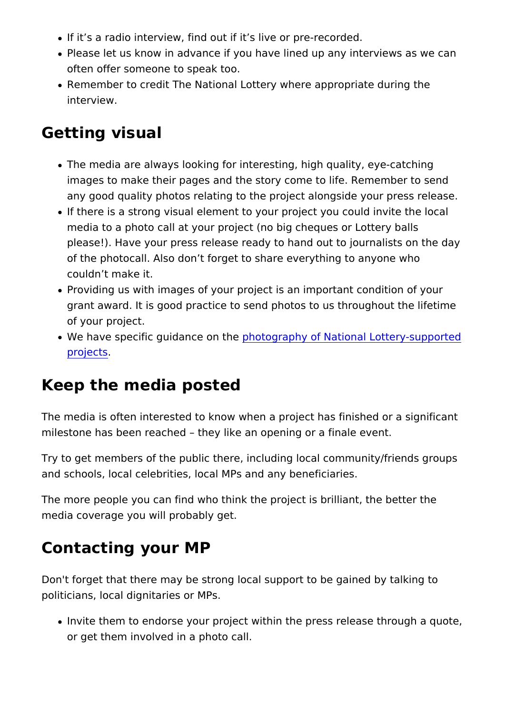- . If it s a radio interview, find out if it s live or pre-recorded
- Please let us know in advance if you have lined up any inter often offer someone to speak too.
- Remember to credit The National Lottery where appropriate interview.

#### Getting visual

- $\bullet$  The media are always looking for interesting, high quality,  $\epsilon$ images to make their pages and the story come to life. Reme any good quality photos relating to the project alongside yo
- If there is a strong visual element to your project you could media to a photo call at your project (no big cheques or Lot please!). Have your press release ready to hand out to journ of the photocall. Also don t forget to share everything to an couldn t make it.
- Providing us with images of your project is an important con grant award. It is good practice to send photos to us throug of your project.
- . We have specific guidanphodo gthe phy of National Lottery-sup [projec](https://www.heritagefund.org.uk/node/110186)ts .

#### Keep the media posted

The media is often interested to know when a project has finish milestone has been reached they like an opening or a finale e

Try to get members of the public there, including local communi and schools, local celebrities, local MPs and any beneficiaries.

The more people you can find who think the project is brilliant, media coverage you will probably get.

#### Contacting your MP

Don't forget that there may be strong local support to be gained politicians, local dignitaries or MPs.

 $\bullet$  Invite them to endorse your project within the press release or get them involved in a photo call.